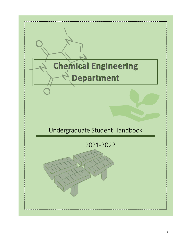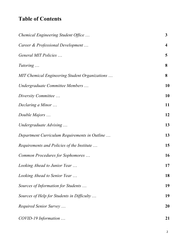# **Table of Contents**

| Chemical Engineering Student Office            | $\mathbf{3}$            |
|------------------------------------------------|-------------------------|
| Career & Professional Development              | $\overline{\mathbf{4}}$ |
| General MIT Policies                           | 5                       |
| Tutoring                                       | 8                       |
| MIT Chemical Engineering Student Organizations | 8                       |
| Undergraduate Committee Members                | 10                      |
| Diversity Committee                            | 10                      |
| Declaring a Minor                              | 11                      |
| Double Majors                                  | 12                      |
| Undergraduate Advising                         | 13                      |
| Department Curriculum Requirements in Outline  | 13                      |
| Requirements and Policies of the Institute     | 15                      |
| Common Procedures for Sophomores               | 16                      |
| Looking Ahead to Junior Year                   | 17                      |
| Looking Ahead to Senior Year                   | 18                      |
| Sources of Information for Students            | 19                      |
| Sources of Help for Students in Difficulty     | 19                      |
| Required Senior Survey                         | 20                      |
| COVID-19 Information                           | 21                      |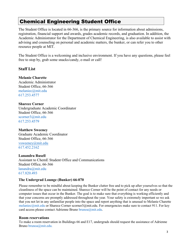# Chemical Engineering Student Office

The Student Office is located in 66-366, is the primary source for information about admissions, registration, financial support and awards, grades academic records, and graduation. In addition, the Academic Administrator for the Department of Chemical Engineering, is also available to assist with advising and counseling on personal and academic matters, the bunker, or can refer you to other resource people at MIT.

The Student Office is a welcoming and inclusive environment. If you have any questions, please feel free to stop by, grab some snacks/candy, e-mail or call!

### **Staff List**

**Melanie Charette**  Academic Administrator Student Office, 66-366 melaniec@mit.edu 617.253.4577

**Sharece Corner**  Undergraduate Academic Coordinator Student Office, 66-366 scorner3@mit.edu 617.253.4579

**Matthew Sweeney**  Graduate Academic Coordinator Student Office, 66-366 vsweeney@mit.edu 617.452.2162

**Lanandra Rusell** Assistant to ChemE Student Office and Communications Student Office, 66-366 lanandra@mit.edu 617.820.493

#### **The Undergrad Lounge (Bunker) 66-070**

Please remember to be mindful about keeping the Bunker clutter free and to pick up after yourselves so that the cleanliness of the space can be maintained. Sharece Corner will be the point of contact for any needs or computer issues that occur in the Bunker. The goal is to make sure that everything is working efficiently and that your concerns are promptly addressed throughout the year. Your safety is extremely important so we ask that you not let in any unfamiliar people into the space and report anything that is unusual to Melanie Charette melaniec@mit.edu or Sharece Corner scorner3@mit.edu. For emergencies make sure to contact 911. For key card access please contact Adrienne Bruno brunoa@mit.edu.

#### **Room reservations**

To make a room reservation in Buildings 66 and E17, undergrads should request the assistance of Adrienne Bruno brunoa@mit.edu.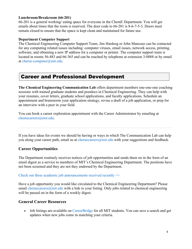### **Lunchroom/Breakroom (66-201)**

66-201 is a general working/ eating space for everyone in the ChemE Department. You will get emails about times that the room is reserved. The door code to 66-201 is 8-6-7-5-3. Doors must remain closed to ensure that the space is kept clean and maintained for future use.

### **Department Computer Support**

The Chemical Engineering Computer Support Team, Jim Hardsog or John Mancuso can be contacted for any computing related issues including: computer viruses, email issues, network access, printing, software, and obtaining a new IP address for a computer or printer. The computer support team is located in rooms 56-483 and 66-365 and can be reached by telephone at extension 3-0088 or by email at cheme-computer@mit.edu.

# Career and Professional Development

**The Chemical Engineering Communication Lab** offers department members one-one-one coaching sessions with trained graduate students and postdocs in Chemical Engineering. They can help with your resumes, cover letters, graduate school applications, and faculty applications. Schedule an appointment and brainstorm your application strategy, revise a draft of a job application, or prep for an interview with a peer in your field.

You can book a career exploration appointment with the Career Administrator by emailing at chemecareers@mit.edu.

If you have ideas for events we should be having or ways in which The Communication Lab can help you along your career path, email us at chemecareers@mit.edu with your suggestions and feedback.

## **Career Opportunities**

The Department routinely receives notices of job opportunities and sends them on in the form of an email digest as a service to members of MIT's Chemical Engineering Department. The positions have not been screened and they are not they endorsed by the Department.

Check out these academic job announcements received recently >>

Have a job opportunity you would like circulated to the Chemical Engineering Department? Please email chemecareers  $\omega$  mit.edu with a link to your listing. Only jobs related to chemical engineering will be passed on in the form of a weekly digest.

## **General Career Resources**

• Job listings are available on CareerBridge for all MIT students. You can save a search and get updates when new jobs come in matching your criteria.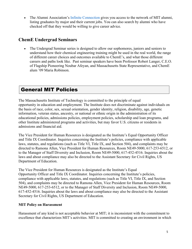• The Alumni Association's Infinite Connection gives you access to the network of MIT alumni, listing graduates by major and their current jobs. You can also search by alumni who have checked off that they would be willing to give career advice.

## **ChemE Undergrad Seminars**

• The Undergrad Seminar series is designed to allow our sophomores, juniors and seniors to understand how their chemical engineering training might be used in the real world, the range of different career choices and outcomes available to ChemE's, and what those different careers and paths look like. Past seminar speakers have been Professor Robert Langer, C.E.O. of Flagship Pioneering Noubar Afeyan, and Massachusetts State Representative, and ChemE alum '09 Maria Robinson.

# General MIT Policies

The Massachusetts Institute of Technology is committed to the principle of equal opportunity in education and employment. The Institute does not discriminate against individuals on the basis of race, color, sex, sexual orientation, gender identity, religion, disability, age, genetic information, veteran status, ancestry, or national or ethnic origin in the administration of its educational policies, admissions policies, employment policies, scholarship and loan programs, and other Institute administered programs and activities, but may favor U.S. citizens or residents in admissions and financial aid.

The Vice President for Human Resources is designated as the Institute's Equal Opportunity Officer and Title IX Coordinator. Inquiries concerning the Institute's policies, compliance with applicable laws, statutes, and regulations (such as Title VI, Title IX, and Section 504), and complaints may be directed to Ramona Allen, Vice President for Human Resources, Room NE49-5000, 617-253-6512, or to the Manager of Staff Diversity and Inclusion, Room NE49-5000, 617-452-4516. Inquiries about the laws and about compliance may also be directed to the Assistant Secretary for Civil Rights, US Department of Education.

The Vice President for Human Resources is designated as the Institute's Equal Opportunity Officer and Title IX Coordinator. Inquiries concerning the Institute's policies, compliance with applicable laws, statutes, and regulations (such as Title VI, Title IX, and Section 504), and complaints may be directed to Ramona Allen, Vice President for Human Resources, Room NE49-5000, 617-253-6512, or to the Manager of Staff Diversity and Inclusion, Room NE49-5000, 617-452-4516. Inquiries about the laws and about compliance may also be directed to the Assistant Secretary for Civil Rights, US Department of Education.

## **MIT Policy on Harassment**

Harassment of any kind is not acceptable behavior at MIT; it is inconsistent with the commitment to excellence that characterizes MIT's activities. MIT is committed to creating an environment in which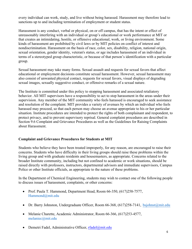every individual can work, study, and live without being harassed. Harassment may therefore lead to sanctions up to and including termination of employment or student status.

Harassment is any conduct, verbal or physical, on or off campus, that has the intent or effect of unreasonably interfering with an individual or group's educational or work performance at MIT or that creates an intimidating, hostile, or offensive educational, work, or living environment. Some kinds of harassment are prohibited by civil laws or by MIT policies on conflict of interest and nondiscrimination. Harassment on the basis of race, color, sex, disability, religion, national origin, sexual orientation, gender identity, veteran's status, or age includes harassment of an individual in terms of a stereotyped group characteristic, or because of that person's identification with a particular group.

Sexual harassment may take many forms. Sexual assault and requests for sexual favors that affect educational or employment decisions constitute sexual harassment. However, sexual harassment may also consist of unwanted physical contact, requests for sexual favors, visual displays of degrading sexual images, sexually suggestive conduct, or offensive remarks of a sexual nature.

The Institute is committed under this policy to stopping harassment and associated retaliatory behavior. All MIT supervisors have a responsibility to act to stop harassment in the areas under their supervision. Any member of the MIT community who feels harassed is encouraged to seek assistance and resolution of the complaint. MIT provides a variety of avenues by which an individual who feels harassed may proceed, so that each person may choose an avenue appropriate to his or her particular situation. Institute procedures are intended to protect the rights of both complainant and respondent, to protect privacy, and to prevent supervisory reprisal. General complaint procedures are described in Section 9.6 Complaint and Grievance Procedures as well as the Guidelines for Raising Complaints about Harassment.

### **Complaint and Grievance Procedures for Students at MIT**

Students who believe they have been treated improperly, for any reason, are encouraged to raise their concerns. Students who have difficulty in their living groups should raise these problems within the living group and with graduate residents and housemasters, as appropriate. Concerns related to the broader Institute community, including but not confined to academic or work situations, should be raised directly with professors, instructors, departmental advisors and immediate supervisors, Campus Police or other Institute officials, as appropriate to the nature of these problems.

In the Department of Chemical Engineering, students may wish to contact one of the following people to discuss issues of harassment, complaints, or other concerns:

- Prof. Paula T. Hammond, Department Head, Room 66-350, (617)258-7577, Hammond@mit.edu
- Dr. Barry Johnston, Undergraduate Officer, Room 66-368,  $(617)258-7141$ , bsjohnst $@mit.edu$
- Melanie Charette, Academic Administrator, Room 66-366, (617)253-4577, melaniec@mit.edu
- Demetri Fadel, Administrative Officer, rfadel@mit.edu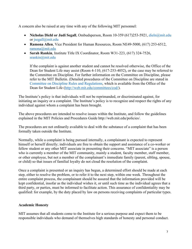A concern also be raised at any time with any of the following MIT personnel:

- **Nicholas Diehl or Judi Segall**, Ombudsperson, Room 10-359 (617)253-5921, dieln@mit.edu or jsegall@mit.edu
- **Ramona Allen**, Vice President for Human Resources, Room NE49-5000, (617) 253-6512, ramona@mit.edu
- **Sarah Rankin**, Institute Title IX Coordinator, Room W31-223, (617) 324-7526, srankin@mit.edu

If the complaint is against another student and cannot be resolved otherwise, the Office of the Dean for Student Life may assist (Room 4-110, (617-253-4052), or the case may be referred to the Committee on Discipline. For further information on the Committee on Discipline, please refer to the MIT Bulletin. (Detailed procedures of the Committee on Discipline are stated in Committee on Discipline Rules and Regulations, which is available from the Office of the Dean for Student Life (http://web.mit.edu/committees/cod/).

The Institute's policy is that individuals will not be reprimanded, or discriminated against, for initiating an inquiry or a complaint. The Institute's policy is to recognize and respect the rights of any individual against whom a complaint has been brought.

The above procedures are intended to resolve issues within the Institute, and follow the guidelines explained in the MIT Policies and Procedures Guide http://web.mit.edu/policies/.

The procedures are not ordinarily available to deal with the substance of a complaint that has been formally taken outside the Institute.

Normally, while a complaint is being pursued internally, a complainant is expected to represent himself or herself directly; individuals are free to obtain the support and assistance of a co-worker or fellow student or any other MIT associate in presenting their concerns. "MIT associate" is a person who is currently a member of the MIT community, mainly a student, faculty member, staff member, or other employee, but not a member of the complainant's immediate family (parent, sibling, spouse, or child) so that issues of familial loyalty do not cloud the resolution of the complaint.

Once a complaint is presented or an inquiry has begun, a determined effort should be made at each step, either to resolve the problem, or to refer it to the next step, within one week. Throughout the entire complaint process, the complainant should be assured that the information provided will be kept confidential, insofar as the individual wishes it, or until such time as the individual agrees that a third party, or parties, must be informed to facilitate action. This assurance of confidentiality may be qualified: for example, by the duty placed by law on persons receiving complaints of particular types.

### **Academic Honesty**

MIT assumes that all students come to the Institute for a serious purpose and expect them to be responsible individuals who demand of themselves high standards of honesty and personal conduct.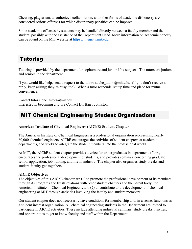Cheating, plagiarism, unauthorized collaboration, and other forms of academic dishonesty are considered serious offenses for which disciplinary penalties can be imposed.

Some academic offenses by students may be handled directly between a faculty member and the student, possibly with the assistance of the Department Head. More information on academic honesty can be found on the MIT website at https://integrity.mit.edu.

# Tutoring

Tutoring is provided by the department for sophomore and junior 10.x subjects. The tutors are juniors and seniors in the department.

If you would like help, send a request to the tutors at che tutors@mit.edu. (If you don't receive a reply, keep asking; they're busy, too). When a tutor responds, set up time and place for mutual convenience.

Contact tutors: che\_tutors@mit.edu Interested in becoming a tutor? Contact Dr. Barry Johnston.

# MIT Chemical Engineering Student Organizations

### **American Institute of Chemical Engineers (AIChE) Student Chapter**

The American Institute of Chemical Engineers is a professional organization representing nearly 60,000 chemical engineers. AIChE encourages the activities of student chapters at academic departments, and works to integrate the student members into the professional world.

At MIT, the AIChE student chapter provides a voice for undergraduates in department affairs, encourages the professional development of students, and provides seminars concerning graduate school application, job hunting, and life in industry. The chapter also organizes study breaks and student-faculty get-togethers.

### **AIChE Objectives**

The objectives of this AIChE chapter are (1) to promote the professional development of its members through its programs and by its relations with other student chapters and the parent body, the American Institute of Chemical Engineers, and (2) to contribute to the development of chemical engineering at MIT through activities involving the faculty and student members.

Our student chapter does not necessarily have conditions for membership and, in a sense, functions as a student interest organization. All chemical engineering students in the Department are invited to participate in AIChE activities. These include attending industrial seminars, study breaks, lunches, and opportunities to get to know faculty and staff within the Department.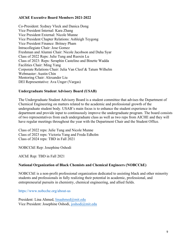### **AIChE Executive Board Members 2021-2022**

Co-President: Sydney Vleck and Danica Dong Vice President Internal: Kara Zhang Vice President External: Nicole Munne Vice President Chapter Relations: Ashleigh Teygong Vice President Finance: Britney Pham Intracollegiate Chair: Jose Gomez Freshman and Alumni Chair: Nicole Jacobson and Duha Syar Class of 2022 Reps: Julie Tung and Ruoxin Lu Class of 2023: Reps: Seraphin Castelino and Binette Wadda Facilities Chair: Ming Yang Corporate Relations Chair: Julia Van Cleef & Tatum Wilhelm Webmaster: Austin Chin Mentoring Chair: Alexander Liu DEI Representative: Ava Unger (Vargas)

### **Undergraduate Student Advisory Board (USAB)**

The Undergraduate Student Advisory Board is a student committee that advises the Department of Chemical Engineering on matters related to the academic and professional growth of the undergraduate student body. USAB's main focus is to enhance the student experience in the department and provide input to continuously improve the undergraduate program. The board consists of two representatives from each undergraduate class as well as two reps from AICHE and they will have regular meetings throughout the year with the Department Chair and the Student Office.

Class of 2022 reps: Julie Tung and Nicole Munne Class of 2023 reps: Victoria Yang and Freda Edholm Class of 2024 reps: TBD in Fall 2021

NOBCChE Rep: Josephine Oshodi

AIChE Rep: TBD in Fall 2021

### **National Organization of Black Chemists and Chemical Engineers (NOBCChE)**

NOBCChE is a non-profit professional organization dedicated to assisting black and other minority students and professionals in fully realizing their potential in academic, professional, and entrepreneurial pursuits in chemistry, chemical engineering, and allied fields.

https://www.nobcche.org/about-us

President: Lina Ahmed, linaahmed@mit.edu Vice President: Josephine Oshodi, joshodi@mit.edu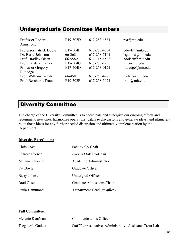# Undergraduate Committee Members

| Professor Robert<br>Armstrong                                                                                       | E19-307D                                              | 617-253-4581                                                                 | rca@mit.edu                                                                               |
|---------------------------------------------------------------------------------------------------------------------|-------------------------------------------------------|------------------------------------------------------------------------------|-------------------------------------------------------------------------------------------|
| Professor Patrick Doyle<br>Dr. Barry Johnston<br>Prof. Bradley Olsen<br>Prof. Kristala Prather<br>Professor Gregory | E17-504F<br>66-368<br>66-558A<br>E17-504G<br>E17-504D | 617-253-4534<br>617-258-7141<br>617-715-4548<br>617-253-1950<br>617-253-0171 | pdoyle@mit.edu<br>bsjohnst@mit.edu<br>bdolsen@mit.edu<br>kljp@mit.edu<br>rutledge@mit.edu |
| Rutledge<br>Prof. William Tisdale<br>Prof. Bernhardt Trout                                                          | 66-458<br>E19-502B                                    | 617-253-4975<br>617-258-5021                                                 | tisdale@mit.edu<br>trout@mit.edu                                                          |

# Diversity Committee

The charge of the Diversity Committee is to coordinate and synergize our ongoing efforts and recommend new ones, harmonize operations, catalyze discussions and generate ideas, and ultimately route those ideas for any further needed discussion and ultimately implementation by the Department.

### **Diversity ExecComm:**

| Chris Love            | Faculty Co-Chair              |  |
|-----------------------|-------------------------------|--|
| <b>Sharece Corner</b> | <i>Interim Staff Co-Chair</i> |  |
| Melanie Charette      | Academic Administrator        |  |
| Pat Doyle             | Graduate Officer              |  |
| <b>Barry Johnston</b> | Undergrad Officer             |  |
| <b>Brad Olsen</b>     | Graduate Admissions Chair     |  |
| Paula Hammond         | Department Head, ex-officio   |  |

## **Full Committee:**

| Melanie Kaufman  | <b>Communications Officer</b>                             |
|------------------|-----------------------------------------------------------|
| Tseganesh Gudeta | Staff Representative, Administrative Assistant, Trout Lab |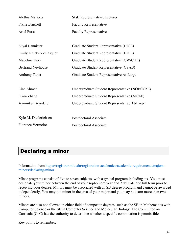| Alethia Mariotta         | <b>Staff Representative, Lecturer</b>          |
|--------------------------|------------------------------------------------|
| Fikile Brushett          | <b>Faculty Representative</b>                  |
| <b>Ariel Furst</b>       | <b>Faculty Representative</b>                  |
|                          |                                                |
| K'yal Bannister          | Graduate Student Representative (DICE)         |
| Emily Krucker-Velasquez  | Graduate Student Representative (DICE)         |
| Madeline Dery            | Graduate Student Representative (GWiCHE)       |
| <b>Bertrand Neyhouse</b> | Graduate Student Representative (GSAB)         |
| <b>Anthony Tabet</b>     | Graduate Student Representative At-Large       |
|                          |                                                |
| Lina Ahmed               | Undergraduate Student Representative (NOBCChE) |
| Kara Zhang               | Undergraduate Student Representative (AIChE)   |
| Ayomikun Ayodeje         | Undergraduate Student Representative At-Large  |
|                          |                                                |
| Kyle M. Diederichsen     | Postdoctoral Associate                         |
| <b>Florence Vermeire</b> | Postdoctoral Associate                         |

# Declaring a minor

Information from https://registrar.mit.edu/registration-academics/academic-requirements/majorsminors/declaring-minor

Minor programs consist of five to seven subjects, with a typical program including six. You must designate your minor between the end of your sophomore year and Add Date one full term prior to receiving your degree. Minors must be associated with an SB degree program and cannot be awarded independently. You may not minor in the area of your major and you may not earn more than two minors.

Minors are also not allowed in either field of composite degrees, such as the SB in Mathematics with Computer Science or the SB in Computer Science and Molecular Biology. The Committee on Curricula (CoC) has the authority to determine whether a specific combination is permissible.

Key points to remember: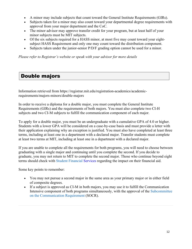- A minor may include subjects that count toward the General Institute Requirements (GIRs).
- Subjects taken for a minor may also count toward your departmental degree requirements with approval from your major department and the CoC.
- The minor advisor may approve transfer credit for your program, but at least half of your minor subjects must be MIT subjects.
- Of the six subjects required for a HASS minor, at most five may count toward your eightsubject HASS Requirement and only one may count toward the distribution component.
- Subjects taken under the junior-senior P/D/F grading option cannot be used for a minor.

*Please refer to Registrar's website or speak with your advisor for more details* 

## Double majors

Information retrieved from https://registrar.mit.edu/registration-academics/academicrequirements/majors-minors/double-majors

In order to receive a diploma for a double major, you must complete the General Institute Requirements (GIRs) and the requirements of both majors. You must also complete two CI-H subjects and two CI-M subjects to fulfill the communication component of each major.

To apply for a double major, you must be an undergraduate with a cumulative GPA of 4.0 or higher. Students with a lower GPA will be considered on a case-by-case basis and must provide a letter with their application explaining why an exception is justified. You must also have completed at least three terms, including at least one in a department with a declared major. Transfer students must complete at least two terms at MIT, including at least one in a department with a declared major.

If you are unable to complete all the requirements for both programs, you will need to choose between graduating with a single major and continuing until you complete the second. If you decide to graduate, you may not return to MIT to complete the second major. Those who continue beyond eight terms should check with Student Financial Services regarding the impact on their financial aid.

Some key points to remember:

- You may not pursue a second major in the same area as your primary major or in either field of composite degrees.
- If a subject is approved as CI-M in both majors, you may use it to fulfill the Communication Intensive component of both programs simultaneously, with the approval of the Subcommittee on the Communication Requirement (SOCR).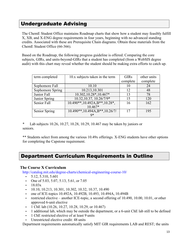# Undergraduate Advising

The ChemE Student Office maintains Roadmap charts that show how a student may feasibly fulfill X, XB, and X-ENG degree requirements in four years, beginning with no advanced standing credits. Associated with these are Prerequisite Chain diagrams. Obtain these materials from the ChemE Student Office (66-366).

Based on the Roadmap, the following progress guideline is offered. Comparing the core subjects, GIRs, and units-beyond-GIRs that a student has completed (from a WebSIS degree audit) with this chart may reveal whether the student should be making extra efforts to catch up.

| term completed   | 10.x subjects taken in the term             | <b>GIRs</b> | other units |
|------------------|---------------------------------------------|-------------|-------------|
|                  |                                             | complete    | complete    |
| Sophomore Fall   | 10.10                                       | 10          | 24          |
| Sophomore Spring | 10.213,10.301                               | 12          | 48          |
| Junior Fall      | 10.302,10.28*,10.467*                       | 13          | 78          |
| Junior Spring    | 10.32, 10.37, 10.26/7/9*                    | 15          | 120         |
| Senior Fall      | $10.490**$ , 10.492A, B**, 10.28*,          | 16          | 162         |
|                  | $10.467*$                                   |             |             |
| Senior Spring    | $10.490**$ , $10.494A$ , $B**$ , $10.26/7/$ | 17          | 195         |
|                  | 9*                                          |             |             |

Lab subjects 10.26, 10.27, 10.28, 10.29, 10.467 may be taken by juniors or seniors.

\*\* Students select from among the various 10.49x offerings. X-ENG students have other options for completing the Capstone requirement.

## Department Curriculum Requirements in Outline

## **The Course X Curriculum**

http://catalog.mit.edu/degree-charts/chemical-engineering-course-10/

- $\cdot$  5.12, 5.310, 5.601
- One of  $5.03, 5.07, 5.13, 5.61,$  or  $7.05$
- $18.03x$
- $\cdot$  10.10, 10.213, 10.301, 10.302, 10.32, 10.37, 10.490
- one of ICE-topics 10.492A, 10.492B, 10.493, 10.494A, 10.494B
- restricted elective another ICE-topic, a second offering of 10.490, 10.00, 10.01, or other approved 6-unit elective
- 1 ChE lab (10.26, 10.27, 10.28, 10.29, or 10.467)
- 1 additional lab, which may be outside the department, or a 6-unit ChE lab still to be defined
- 1 ChE restricted elective of at least 9 units
- Unrestricted elective credit: 48 units

Department requirements automatically satisfy MIT GIR requirements LAB and REST; the units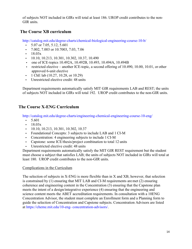of subjects NOT included in GIRs will total at least 186. UROP credit contributes to the non-GIR units.

## **The Course XB curriculum**

http://catalog.mit.edu/degree-charts/chemical-biological-engineering-course-10-b/

- 5.07 or 7.05, 5.12, 5.601
- 7.002, 7.003 or 10.7003, 7.03, 7.06
- $18.03x$
- $\cdot$  10.10, 10.213, 10.301, 10.302, 10.37, 10.490
- one of ICE-topics 10.492A, 10.492B, 10.493, 10.494A, 10.494B
- restricted elective another ICE-topic, a second offering of 10.490, 10.00, 10.01, or other approved 6-unit elective
- 1 ChE lab  $(10.27, 10.28, \text{ or } 10.29)$
- Unrestricted elective credit: 48 units

Department requirements automatically satisfy MIT GIR requirements LAB and REST; the units of subjects NOT included in GIRs will total 192. UROP credit contributes to the non-GIR units.

## **The Course X-ENG Curriculum**

http://catalog.mit.edu/degree-charts/engineering-chemical-engineering-course-10-eng/

- $\cdot$  5.601
- $18.03x$
- $\cdot$  10.10, 10.213, 10.301, 10.302, 10.37
- Foundational Concepts: 3 subjects to include LAB and 1 CI-M
- Concentration: 4 engineering subjects to include 1 CI-M
- Capstone: some ICE/thesis/project combination to total 12 units
- Unrestricted elective credit: 48 units

Department requirements automatically satisfy the MIT GIR REST requirement but the student must choose a subject that satisfies LAB; the units of subjects NOT included in GIRs will total at least 180. UROP credit contributes to the non-GIR units.

## Complications in the Curriculum

The selection of subjects in X-ENG is more flexible than in X and XB; however, that selection is constrained by (1) ensuring that MIT LAB and CI-M requirements are met (2) ensuring coherence and engineering content in the Concentration (3) ensuring that the Capstone plan meets the intent of a design/integrative experience (4) ensuring that the engineering and science content meets the ABET accreditation requirements. In consultation with a 10ENG Concentration Advisor, the student must complete an Enrollment form and a Planning form to guide the selection of Concentration and Capstone subjects. Concentration Advisors are listed at https://cheme.mit.edu/10-eng- concentration-advisors/.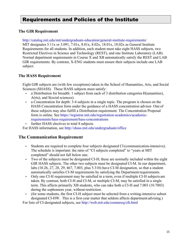# Requirements and Policies of the Institute

## **The GIR Requirement**

http://catalog.mit.edu/mit/undergraduate-education/general-institute-requirements/ MIT designates 5.11x or 3.091, 7.01x, 8.01x, 8.02x, 18.01x, 18.02x as General Institute Requirements for all students. In addition, each student must take eight HASS subjects, two Restricted Electives in Science and Technology (REST), and one Institute Laboratory (LAB). Normal department requirements in Course X and XB automatically satisfy the REST and LAB GIR requirements. By contrast, X-ENG students must ensure their subjects include one LAB subject.

## **The HASS Requirement**

Eight GIR subjects are (with few exceptions) taken in the School of Humanities, Arts, and Social Sciences (SHASS). These HASS subjects must satisfy:

- a Distribution for breadth: 1 subject from each of 3 distribution categories H(umanities), A(rts), and S(ocial sciences).
- a Concentration for depth: 3-4 subjects in a single topic. The program is chosen on the HASS Concentration form under the guidance of a HASS concentration advisor. One of these subjects may also fulfill a Distribution requirement. The Concentration Proposal form is online. See https://registrar.mit.edu/registration-academics/academicrequirements/hass-requirement/hass-concentrations
- further HASS electives to total 8 subjects.

For HASS information, see http://shass.mit.edu/undergraduate/office

## **The Communication Requirement**

- Students are required to complete four subjects designated CI (communication-intensive). The schedule is important: the ratio of "CI subjects completed" to "years at MIT completed" should not fall below one.
- Two of the subjects must be designated CI-H; these are normally included within the eight GIR HASS subjects. The other two subjects must be designated CI-M. In our department, labs (10.26, 27, 28, 29, 467, 7.003, plus 5.310) have CI-M designation, so that a student automatically satisfies CI-M requirements by satisfying the Department requirements.
- Only one CI-H requirement may be satisfied in a term, even if multiple CI-H subjects are taken. By contrast, both CI-H and CI-M, or multiple CI-M, may be satisfied in a single term. This affects primarily XB students, who can take both a CI-H and 7.003 (10.7003) during the sophomore year, without restriction.
- (for some students, the first CI-H subject must be selected from a writing-intensive subset designated CI-HW. This is a first-year matter that seldom affects department advising.)

For lists of CI-designated subjects, see http://web.mit.edu/commreq/cih.html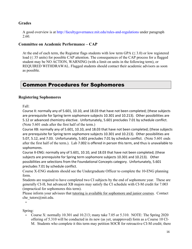## **Grades**

A good overview is at http://facultygovernance.mit.edu/rules-and-regulations under paragraph 2.60.

## **Committee on Academic Performance – CAP**

At the end of each term, the Registrar flags students with low term GPA  $( $3.0$ ) or low registered$ load ( $\leq$  35 units) for possible CAP attention. The consequences of the CAP process for a flagged student may be NO ACTION, WARNING (with a limit on units in the following term), or REQUIRED WITHDRAWAL. Flagged students should contact their academic advisors as soon as possible.

# Common Procedures for Sophomores

## **Registering Sophomores**

Fall:

 Course X: normally any of 5.601, 10.10, and 18.03 that have not been completed; (these subjects are prerequisite for Spring term sophomore subjects 10.301 and 10.213). Other possibilities are 5.12 or advanced chemistry elective. Unfortunately, 5.601 precludes 7.01 by schedule conflict. (Note 5.601 ends after the first half of the term.)

 Course XB: normally any of 5.601, 10.10, and 18.03 that have not been completed; (these subjects are prerequisite for Spring term sophomore subjects 10.301 and 10.213). Other possibilities are 5.07, 5.12, and 7.03. Unfortunately, 5.601 precludes 7.01 by schedule conflict. (Note 5.601 ends after the first half of the term.). Lab 7.002 is offered in person this term, and thus is unavailable to sophomores.

 Course X-ENG: normally any of 5.601, 10.10, and 18.03 that have not been completed; (these subjects are prerequisite for Spring term sophomore subjects 10.301 and 10.213). Other possibilities are selections from the Foundational Concepts category. Unfortunately, 5.601 precludes 7.01 by schedule conflict.

 Course X-ENG students should see the Undergraduate Officer to complete the 10-ENG planning form.

 Students are required to have completed two CI subjects by the end of sophomore year. These are generally CI-H, but advanced XB majors may satisfy the CI schedule with CI-M credit for 7.003 (impractical for sophomores this term).

 Please inform your advisees that tutoring is available for sophomore and junior courses. Contact che tutors@mit.edu.

•

Spring:

• Course X: normally 10.301 and 10.213; many take 7.05 or 5.310. NOTE: The Spring 2020 offering of 5.310 will be conducted in its new (as yet, unapproved) form as a Course 10 CI-M. Students who complete it this term may petition SOCR for retroactive CI-M credit; there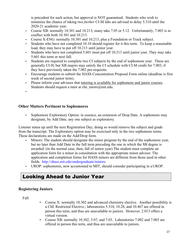is precedent for such action, but approval is NOT guaranteed. Students who wish to minimize the chance of taking two *further* CI-M labs are advised to delay 5.310 until the 2020-21 academic year.

- Course XB: normally 10.301 and 10.213; many take 7.05 or 5.12. Unfortunately, 7.003 is in conflict with both 10.301 and 10.213.
- Course X-ENG: normally 10.301 and 10.213, plus a Foundation or Track subject.
- Students who have not completed 10.10 should register for it this term. To keep a reasonable load, they may have to put off 10.213 until junior year.
- Students who have not completed 5.601 must put off 10.213 until junior year. They may take 5.601 this term or next fall.
- Students are required to complete two CI subjects by the end of sophomore year. These are generally CI-H, but XB majors may satisfy the CI schedule with CI-M credit for 7.003, if they have previously taken the 7.002 pre-requisite.
- Encourage students to submit the HASS Concentration Proposal Form online (deadline is first week of second junior term).
- Please inform your advisees that tutoring is available for sophomore and junior courses. Students should request a tutor at che\_tutors@mit.edu.
- •

## **Other Matters Pertinent to Sophomores**

• Sophomore Exploratory Option: in essence, an extension of Drop Date. A sophomore may designate, by Add Date, any one subject as exploratory.

Listener status up until the next Registration Day; doing so would remove the subject and grade from the transcript. The Exploratory option may be exercised only in the two sophomore terms. These declarations are made on the Add/Drop form.

- Minors: The student should designate the minor program by the end of the sophomore year, but no later than Add Date in the full term preceding the one in which the SB degree is awarded. (in the normal case, then, fall of senior year) The student must complete an application form for a minor in consultation with the appropriate minor advisor. The application and completion forms for HASS minors are different from those used in other fields. http://shass.mit.edu/undergraduate/minors.
- UROP: sophomores, now accustomed to MIT, should consider participating in a UROP.

# Looking Ahead to Junior Year

## **Registering Juniors**

Fall:

- Course X: normally 10.302 and advanced chemistry elective. Another possibility is a ChE Restricted Elective.; laboratories 5.310, 10.28, and 10.467 are offered in person this term, and thus are unavailable to juniors. However, 2.013 offers a virtual version.
- Course XB: normally 10.302, 5.07, and 7.03. Laboratories 7.002 and 7.003 are offered in person this term, and thus are unavailable to juniors.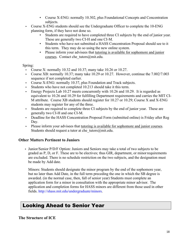- Course X-ENG: normally 10.302, plus Foundational Concepts and Concentration subjects.
- Course X-ENG students should see the Undergraduate Officer to complete the 10-ENG planning form, if they have not done so.
	- Students are required to have completed three CI subjects by the end of junior year. These are generally two CI-H and one CI-M.
	- Students who have not submitted a HASS Concentration Proposal should see to it this term. They may do so using the new online system.
	- Please inform your advisees that tutoring is available for sophomore and junior courses. Contact che tutors@mit.edu.

### Spring:

- Course X: normally 10.32 and 10.37; many take 10.26 or 10.27.
- Course XB: normally 10.37; many take 10.29 or 10.27. However, continue the 7.002/7.003 sequence if not completed earlier.
- Course X-ENG: normally 10.37, plus Foundation and Track subjects.
- Students who have not completed 10.213 should take it this term.
- Energy Projects Lab 10.27 meets concurrently with 10.26 and 10.29. It is regarded as equivalent to 10.26 and 10.29 for fulfilling Department requirements and carries the MIT CI-M attribute. Course XB students should register for 10.27 or 10.29; Course X and X-ENG students may register for any of the three.
- Students are required to complete three CI subjects by the end of junior year. These are generally two CI-H and one CI-M.
- Deadline for the HASS Concentration Proposal Form (submitted online) is Friday after Reg Day.
- Please inform your advisees that tutoring is available for sophomore and junior courses. Students should request a tutor at che\_tutors@mit.edu.

## **Other Matters Pertinent to Juniors**

• Junior/Senior P/D/F Option: Juniors and Seniors may take a total of two subjects to be graded as P, D, or F. These are to be electives; thus GIR, department, or minor requirements are excluded. There is no schedule restriction on the two subjects, and the designation must be made by Add date.

Minors: Students should designate the minor program by the end of the sophomore year, but no later than Add Date, in the full term preceding the one in which the SB degree is awarded. (in the normal case, then, fall of senior year) Students must complete an application form for a minor in consultation with the appropriate minor advisor. The application and completion forms for HASS minors are different from those used in other fields. http://shass.mit.edu/undergraduate/minors.

# Looking Ahead to Senior Year

**The Structure of ICE**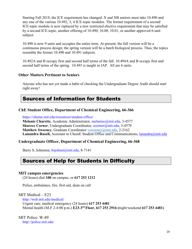Starting Fall 2018, the ICE requirement has changed. X and XB seniors must take 10.490 and any one of the various 10.492, 3, 4 ICE-topic modules. The former requirement of a second ICE-topic module is now replaced by a new restricted elective requirement that may be satisfied by a second ICE-topic, another offering of 10.490, 10.00, 10.01, or another approved 6-unit subject.

10.490 is now 9 units and occupies the entire term. At present, the fall version will be a continuous process design; the spring version will be a batch biological process. Thus, the topics resemble the former 10.490 and 10.491 subjects.

10.492A and B occupy first and second half terms of the fall. 10.494A and B occupy first and second half terms of the spring. 10.493 is taught in IAP. All are 6 units.

### **Other Matters Pertinent to Seniors**

Anyone who has not yet made a habit of checking the Undergraduate Degree Audit should start right away!

## Sources of Information for Students

### **ChE Student Office, Department of Chemical Engineering, 66-366**

https://cheme.mit.edu/resources/student-office/ **Melanie Charette**, Academic Administrator, melaniec@mit.edu, 3-4577 **Sharece Corner**, Undergraduate Coordinator, scorner@mit.edu, 3-4579 **Matthew Sweeney**, Graduate Coordinator vsweeney@mit.edu, 2-2162 Lanandra Rusell, Assistant to ChemE Student Office and Communications, lanandra@mit.edu

## **Undergraduate Officer, Department of Chemical Engineering, 66-368**

Barry S. Johnston, bsjohnst@mit.edu, 8-7141

## Sources of Help for Students in Difficulty

### **MIT campus emergencies**

(24 hours) dial **100** on campus, or **617 253 1212** 

Police, ambulance, fire, first aid, dean on call

#### MIT Medical – E23

http://web.mit.edu/medical/ Urgent care, medical emergency (24 hours) **617 253 4481**  Mental health (M-F 2-4:00 p.m.) **E23-3rd Floor, 617 253 2916 (**night/weekend **617 253 4481)** 

MIT Police: W-89 http://police.mit.edu/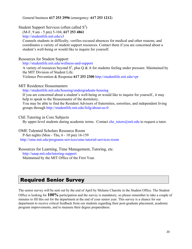General business **617 253 2996** (emergency: **617 253 1212**)

## Student Support Services (often called  $S<sup>3</sup>$ )

(M-F, 9 am - 5 pm) 5-104, **617 253 4861** 

http://studentlife.mit.edu/s3

Counsels students in difficulty, verifies excused absences for medical and other reasons, and coordinates a variety of student support resources. Contact them if you are concerned about a student's well-being or would like to inquire for yourself.

### Resources for Student Support

http://studentlife.mit.edu/wellness-and-support

A variety of resources beyond  $S^3$ , plus Q & A for students feeling under pressure. Maintained by the MIT Division of Student Life.

Violence Prevention & Response **617 253 2300** http://studentlife.mit.edu/vpr

MIT Residence Housemasters

http://studentlife.mit.edu/housing/undergraduate-housing

If you are concerned about a student's well-being or would like to inquire for yourself., it may help to speak to the Housemaster of the dormitory.

You may be able to find the Resident Advisors of fraternities, sororities, and independent living groups through http://studentlife.mit.edu/fsilg/about-us-0

ChE Tutoring in Core Subjects

By upper-level students during academic terms. Contact che tutors  $@mit.edu$  to request a tutor.

OME Talented Scholars Resource Room

P-Set nights (Mon - Thu, 6 - 10 pm) 16-159 http://ome.mit.edu/programs-services/ome-tutorial-services-room

### Resources for Learning, Time Management, Tutoring, etc. http://uaap.mit.edu/tutoring-support Maintained by the MIT Office of the First Year.

# Required Senior Survey

The senior survey will be sent out by the end of April by Melanie Charette in the Student Office. The Student Office is looking for **100%** participation and the survey is mandatory, so please remember to take a couple of minutes to fill this out for the department at the end of your senior year. This survey is a chance for our department to receive critical feedback from our students regarding their post-graduate placement, academic program improvements, and to measure their degree preparedness.